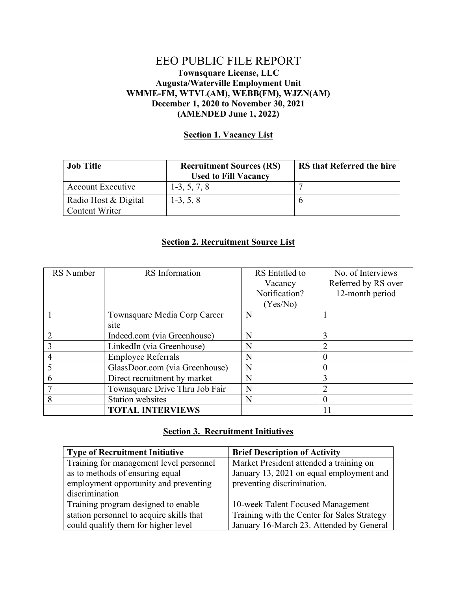## EEO PUBLIC FILE REPORT **Townsquare License, LLC Augusta/Waterville Employment Unit WMME-FM, WTVL(AM), WEBB(FM), WJZN(AM) December 1, 2020 to November 30, 2021 (AMENDED June 1, 2022)**

## **Section 1. Vacancy List**

| <b>Job Title</b>         | <b>Recruitment Sources (RS)</b> | <b>RS</b> that Referred the hire |
|--------------------------|---------------------------------|----------------------------------|
|                          | <b>Used to Fill Vacancy</b>     |                                  |
| <b>Account Executive</b> | $1-3, 5, 7, 8$                  |                                  |
| Radio Host & Digital     | $1-3, 5, 8$                     |                                  |
| <b>Content Writer</b>    |                                 |                                  |

## **Section 2. Recruitment Source List**

| RS Number | <b>RS</b> Information          | RS Entitled to | No. of Interviews   |
|-----------|--------------------------------|----------------|---------------------|
|           |                                | Vacancy        | Referred by RS over |
|           |                                | Notification?  | 12-month period     |
|           |                                | (Yes/No)       |                     |
|           | Townsquare Media Corp Career   | N              |                     |
|           | site                           |                |                     |
|           | Indeed.com (via Greenhouse)    | N              | 3                   |
|           | LinkedIn (via Greenhouse)      | N              | $\overline{2}$      |
| 4         | <b>Employee Referrals</b>      | N              |                     |
|           | GlassDoor.com (via Greenhouse) | N              | $\theta$            |
| 6         | Direct recruitment by market   | N              | 3                   |
|           | Townsquare Drive Thru Job Fair | N              | $\overline{2}$      |
| 8         | <b>Station websites</b>        | N              | 0                   |
|           | <b>TOTAL INTERVIEWS</b>        |                |                     |

## **Section 3. Recruitment Initiatives**

| <b>Type of Recruitment Initiative</b>    | <b>Brief Description of Activity</b>        |  |
|------------------------------------------|---------------------------------------------|--|
| Training for management level personnel  | Market President attended a training on     |  |
| as to methods of ensuring equal          | January 13, 2021 on equal employment and    |  |
| employment opportunity and preventing    | preventing discrimination.                  |  |
| discrimination                           |                                             |  |
| Training program designed to enable      | 10-week Talent Focused Management           |  |
| station personnel to acquire skills that | Training with the Center for Sales Strategy |  |
| could qualify them for higher level      | January 16-March 23. Attended by General    |  |